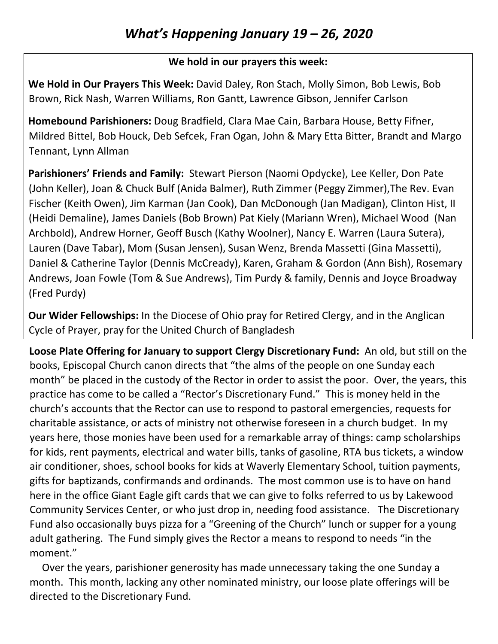## **We hold in our prayers this week:**

**We Hold in Our Prayers This Week:** David Daley, Ron Stach, Molly Simon, Bob Lewis, Bob Brown, Rick Nash, Warren Williams, Ron Gantt, Lawrence Gibson, Jennifer Carlson

**Homebound Parishioners:** Doug Bradfield, Clara Mae Cain, Barbara House, Betty Fifner, Mildred Bittel, Bob Houck, Deb Sefcek, Fran Ogan, John & Mary Etta Bitter, Brandt and Margo Tennant, Lynn Allman

**Parishioners' Friends and Family:** Stewart Pierson (Naomi Opdycke), Lee Keller, Don Pate (John Keller), Joan & Chuck Bulf (Anida Balmer), Ruth Zimmer (Peggy Zimmer),The Rev. Evan Fischer (Keith Owen), Jim Karman (Jan Cook), Dan McDonough (Jan Madigan), Clinton Hist, II (Heidi Demaline), James Daniels (Bob Brown) Pat Kiely (Mariann Wren), Michael Wood (Nan Archbold), Andrew Horner, Geoff Busch (Kathy Woolner), Nancy E. Warren (Laura Sutera), Lauren (Dave Tabar), Mom (Susan Jensen), Susan Wenz, Brenda Massetti (Gina Massetti), Daniel & Catherine Taylor (Dennis McCready), Karen, Graham & Gordon (Ann Bish), Rosemary Andrews, Joan Fowle (Tom & Sue Andrews), Tim Purdy & family, Dennis and Joyce Broadway (Fred Purdy)

**Our Wider Fellowships:** In the Diocese of Ohio pray for Retired Clergy, and in the Anglican Cycle of Prayer, pray for the United Church of Bangladesh

**Loose Plate Offering for January to support Clergy Discretionary Fund:** An old, but still on the books, Episcopal Church canon directs that "the alms of the people on one Sunday each month" be placed in the custody of the Rector in order to assist the poor. Over, the years, this practice has come to be called a "Rector's Discretionary Fund." This is money held in the church's accounts that the Rector can use to respond to pastoral emergencies, requests for charitable assistance, or acts of ministry not otherwise foreseen in a church budget. In my years here, those monies have been used for a remarkable array of things: camp scholarships for kids, rent payments, electrical and water bills, tanks of gasoline, RTA bus tickets, a window air conditioner, shoes, school books for kids at Waverly Elementary School, tuition payments, gifts for baptizands, confirmands and ordinands. The most common use is to have on hand here in the office Giant Eagle gift cards that we can give to folks referred to us by Lakewood Community Services Center, or who just drop in, needing food assistance. The Discretionary Fund also occasionally buys pizza for a "Greening of the Church" lunch or supper for a young adult gathering. The Fund simply gives the Rector a means to respond to needs "in the moment."

 Over the years, parishioner generosity has made unnecessary taking the one Sunday a month. This month, lacking any other nominated ministry, our loose plate offerings will be directed to the Discretionary Fund.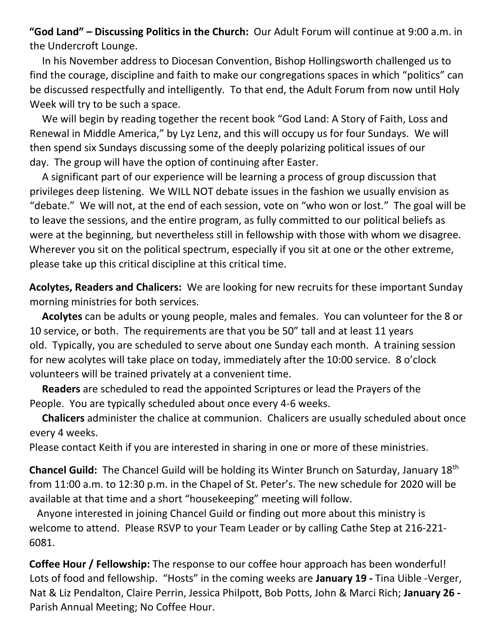**"God Land" – Discussing Politics in the Church:** Our Adult Forum will continue at 9:00 a.m. in the Undercroft Lounge.

 In his November address to Diocesan Convention, Bishop Hollingsworth challenged us to find the courage, discipline and faith to make our congregations spaces in which "politics" can be discussed respectfully and intelligently. To that end, the Adult Forum from now until Holy Week will try to be such a space.

 We will begin by reading together the recent book "God Land: A Story of Faith, Loss and Renewal in Middle America," by Lyz Lenz, and this will occupy us for four Sundays. We will then spend six Sundays discussing some of the deeply polarizing political issues of our day. The group will have the option of continuing after Easter.

 A significant part of our experience will be learning a process of group discussion that privileges deep listening. We WILL NOT debate issues in the fashion we usually envision as "debate." We will not, at the end of each session, vote on "who won or lost." The goal will be to leave the sessions, and the entire program, as fully committed to our political beliefs as were at the beginning, but nevertheless still in fellowship with those with whom we disagree. Wherever you sit on the political spectrum, especially if you sit at one or the other extreme, please take up this critical discipline at this critical time.

**Acolytes, Readers and Chalicers:** We are looking for new recruits for these important Sunday morning ministries for both services.

 **Acolytes** can be adults or young people, males and females. You can volunteer for the 8 or 10 service, or both. The requirements are that you be 50" tall and at least 11 years old. Typically, you are scheduled to serve about one Sunday each month. A training session for new acolytes will take place on today, immediately after the 10:00 service. 8 o'clock volunteers will be trained privately at a convenient time.

 **Readers** are scheduled to read the appointed Scriptures or lead the Prayers of the People. You are typically scheduled about once every 4-6 weeks.

 **Chalicers** administer the chalice at communion. Chalicers are usually scheduled about once every 4 weeks.

Please contact Keith if you are interested in sharing in one or more of these ministries.

**Chancel Guild:** The Chancel Guild will be holding its Winter Brunch on Saturday, January 18th from 11:00 a.m. to 12:30 p.m. in the Chapel of St. Peter's. The new schedule for 2020 will be available at that time and a short "housekeeping" meeting will follow.

 Anyone interested in joining Chancel Guild or finding out more about this ministry is welcome to attend. Please RSVP to your Team Leader or by calling Cathe Step at 216-221- 6081.

**Coffee Hour / Fellowship:** The response to our coffee hour approach has been wonderful! Lots of food and fellowship. "Hosts" in the coming weeks are **January 19 -** Tina Uible -Verger, Nat & Liz Pendalton, Claire Perrin, Jessica Philpott, Bob Potts, John & Marci Rich; **January 26 -** Parish Annual Meeting; No Coffee Hour.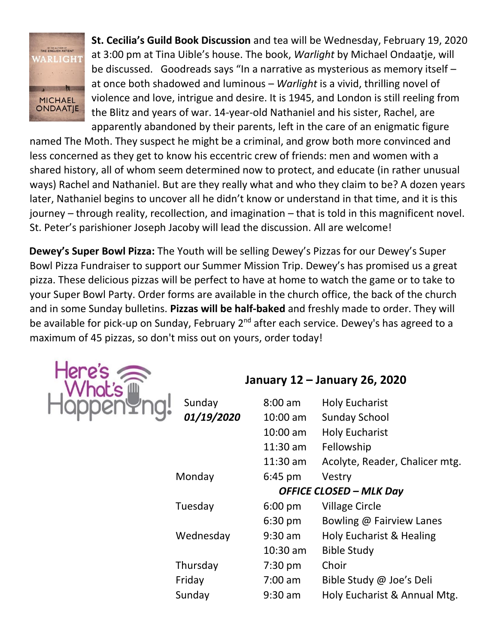

**St. Cecilia's Guild Book Discussion** and tea will be Wednesday, February 19, 2020 at 3:00 pm at Tina Uible's house. The book, *Warlight* by Michael Ondaatje, will be discussed. Goodreads says "In a narrative as mysterious as memory itself – at once both shadowed and luminous – *Warlight* is a vivid, thrilling novel of violence and love, intrigue and desire. It is 1945, and London is still reeling from the Blitz and years of war. 14-year-old Nathaniel and his sister, Rachel, are apparently abandoned by their parents, left in the care of an enigmatic figure

named The Moth. They suspect he might be a criminal, and grow both more convinced and less concerned as they get to know his eccentric crew of friends: men and women with a shared history, all of whom seem determined now to protect, and educate (in rather unusual ways) Rachel and Nathaniel. But are they really what and who they claim to be? A dozen years later, Nathaniel begins to uncover all he didn't know or understand in that time, and it is this journey – through reality, recollection, and imagination – that is told in this magnificent novel. St. Peter's parishioner Joseph Jacoby will lead the discussion. All are welcome!

**Dewey's Super Bowl Pizza:** The Youth will be selling Dewey's Pizzas for our Dewey's Super Bowl Pizza Fundraiser to support our Summer Mission Trip. Dewey's has promised us a great pizza. These delicious pizzas will be perfect to have at home to watch the game or to take to your Super Bowl Party. Order forms are available in the church office, the back of the church and in some Sunday bulletins. **Pizzas will be half-baked** and freshly made to order. They will be available for pick-up on Sunday, February 2<sup>nd</sup> after each service. Dewey's has agreed to a maximum of 45 pizzas, so don't miss out on yours, order today!



**January 12 – January 26, 2020**

| Sunday     | $8:00$ am          | <b>Holy Eucharist</b>          |
|------------|--------------------|--------------------------------|
| 01/19/2020 | $10:00 \text{ am}$ | <b>Sunday School</b>           |
|            | $10:00$ am         | <b>Holy Eucharist</b>          |
|            | $11:30$ am         | Fellowship                     |
|            | 11:30 am           | Acolyte, Reader, Chalicer mtg. |
| Monday     | $6:45$ pm          | Vestry                         |
|            |                    | <b>OFFICE CLOSED - MLK Day</b> |
| Tuesday    | $6:00 \text{ pm}$  | <b>Village Circle</b>          |
|            | $6:30$ pm          | Bowling @ Fairview Lanes       |
| Wednesday  | $9:30$ am          | Holy Eucharist & Healing       |
|            | $10:30$ am         | <b>Bible Study</b>             |
| Thursday   | $7:30$ pm          | Choir                          |
| Friday     | $7:00$ am          | Bible Study @ Joe's Deli       |
| Sunday     | 9:30 am            | Holy Eucharist & Annual Mtg.   |